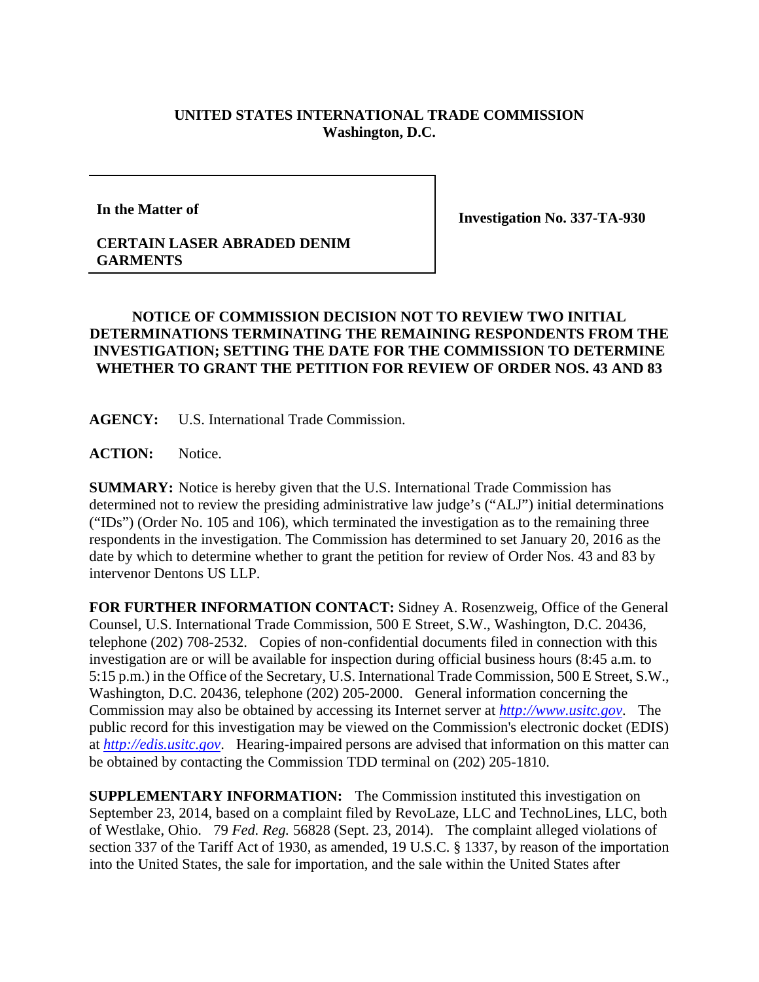## **UNITED STATES INTERNATIONAL TRADE COMMISSION Washington, D.C.**

**In the Matter of** 

**Investigation No. 337-TA-930** 

## **CERTAIN LASER ABRADED DENIM GARMENTS**

## **NOTICE OF COMMISSION DECISION NOT TO REVIEW TWO INITIAL DETERMINATIONS TERMINATING THE REMAINING RESPONDENTS FROM THE INVESTIGATION; SETTING THE DATE FOR THE COMMISSION TO DETERMINE WHETHER TO GRANT THE PETITION FOR REVIEW OF ORDER NOS. 43 AND 83**

**AGENCY:** U.S. International Trade Commission.

**ACTION:** Notice.

**SUMMARY:** Notice is hereby given that the U.S. International Trade Commission has determined not to review the presiding administrative law judge's ("ALJ") initial determinations ("IDs") (Order No. 105 and 106), which terminated the investigation as to the remaining three respondents in the investigation. The Commission has determined to set January 20, 2016 as the date by which to determine whether to grant the petition for review of Order Nos. 43 and 83 by intervenor Dentons US LLP.

**FOR FURTHER INFORMATION CONTACT:** Sidney A. Rosenzweig, Office of the General Counsel, U.S. International Trade Commission, 500 E Street, S.W., Washington, D.C. 20436, telephone (202) 708-2532. Copies of non-confidential documents filed in connection with this investigation are or will be available for inspection during official business hours (8:45 a.m. to 5:15 p.m.) in the Office of the Secretary, U.S. International Trade Commission, 500 E Street, S.W., Washington, D.C. 20436, telephone (202) 205-2000. General information concerning the Commission may also be obtained by accessing its Internet server at *http://www.usitc.gov*. The public record for this investigation may be viewed on the Commission's electronic docket (EDIS) at *http://edis.usitc.gov*. Hearing-impaired persons are advised that information on this matter can be obtained by contacting the Commission TDD terminal on (202) 205-1810.

**SUPPLEMENTARY INFORMATION:** The Commission instituted this investigation on September 23, 2014, based on a complaint filed by RevoLaze, LLC and TechnoLines, LLC, both of Westlake, Ohio. 79 *Fed. Reg.* 56828 (Sept. 23, 2014). The complaint alleged violations of section 337 of the Tariff Act of 1930, as amended, 19 U.S.C. § 1337, by reason of the importation into the United States, the sale for importation, and the sale within the United States after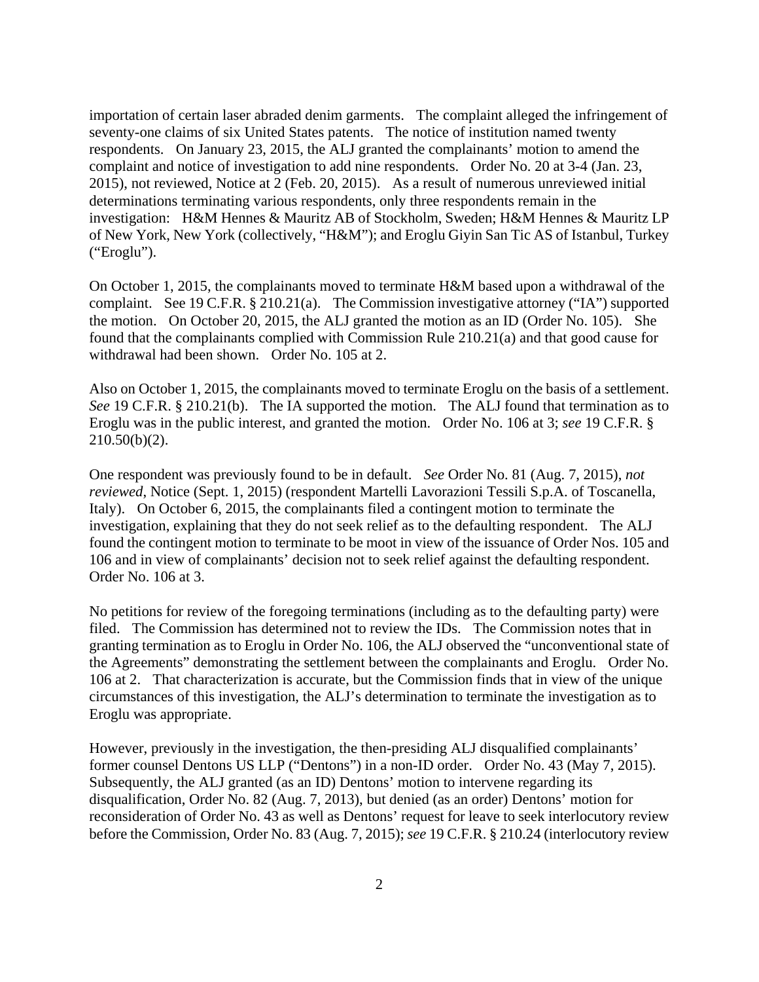importation of certain laser abraded denim garments. The complaint alleged the infringement of seventy-one claims of six United States patents. The notice of institution named twenty respondents. On January 23, 2015, the ALJ granted the complainants' motion to amend the complaint and notice of investigation to add nine respondents. Order No. 20 at 3-4 (Jan. 23, 2015), not reviewed, Notice at 2 (Feb. 20, 2015). As a result of numerous unreviewed initial determinations terminating various respondents, only three respondents remain in the investigation: H&M Hennes & Mauritz AB of Stockholm, Sweden; H&M Hennes & Mauritz LP of New York, New York (collectively, "H&M"); and Eroglu Giyin San Tic AS of Istanbul, Turkey ("Eroglu").

On October 1, 2015, the complainants moved to terminate H&M based upon a withdrawal of the complaint. See 19 C.F.R. § 210.21(a). The Commission investigative attorney ("IA") supported the motion. On October 20, 2015, the ALJ granted the motion as an ID (Order No. 105). She found that the complainants complied with Commission Rule 210.21(a) and that good cause for withdrawal had been shown. Order No. 105 at 2.

Also on October 1, 2015, the complainants moved to terminate Eroglu on the basis of a settlement. *See* 19 C.F.R. § 210.21(b). The IA supported the motion. The ALJ found that termination as to Eroglu was in the public interest, and granted the motion. Order No. 106 at 3; *see* 19 C.F.R. § 210.50(b)(2).

One respondent was previously found to be in default. *See* Order No. 81 (Aug. 7, 2015), *not reviewed*, Notice (Sept. 1, 2015) (respondent Martelli Lavorazioni Tessili S.p.A. of Toscanella, Italy). On October 6, 2015, the complainants filed a contingent motion to terminate the investigation, explaining that they do not seek relief as to the defaulting respondent. The ALJ found the contingent motion to terminate to be moot in view of the issuance of Order Nos. 105 and 106 and in view of complainants' decision not to seek relief against the defaulting respondent. Order No. 106 at 3.

No petitions for review of the foregoing terminations (including as to the defaulting party) were filed. The Commission has determined not to review the IDs. The Commission notes that in granting termination as to Eroglu in Order No. 106, the ALJ observed the "unconventional state of the Agreements" demonstrating the settlement between the complainants and Eroglu. Order No. 106 at 2. That characterization is accurate, but the Commission finds that in view of the unique circumstances of this investigation, the ALJ's determination to terminate the investigation as to Eroglu was appropriate.

However, previously in the investigation, the then-presiding ALJ disqualified complainants' former counsel Dentons US LLP ("Dentons") in a non-ID order. Order No. 43 (May 7, 2015). Subsequently, the ALJ granted (as an ID) Dentons' motion to intervene regarding its disqualification, Order No. 82 (Aug. 7, 2013), but denied (as an order) Dentons' motion for reconsideration of Order No. 43 as well as Dentons' request for leave to seek interlocutory review before the Commission, Order No. 83 (Aug. 7, 2015); *see* 19 C.F.R. § 210.24 (interlocutory review